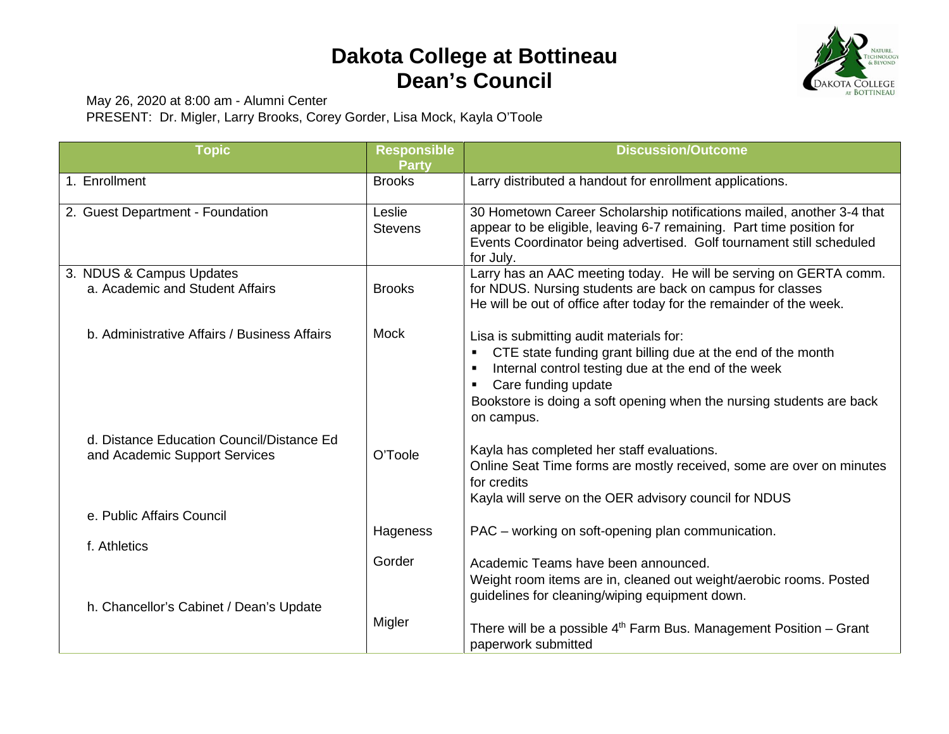## **Dakota College at Bottineau Dean's Council**



May 26, 2020 at 8:00 am - Alumni Center

PRESENT: Dr. Migler, Larry Brooks, Corey Gorder, Lisa Mock, Kayla O'Toole

| <b>Topic</b>                                 | <b>Responsible</b> | <b>Discussion/Outcome</b>                                                                                                                                                                                                            |
|----------------------------------------------|--------------------|--------------------------------------------------------------------------------------------------------------------------------------------------------------------------------------------------------------------------------------|
|                                              | <b>Party</b>       |                                                                                                                                                                                                                                      |
| 1. Enrollment                                | <b>Brooks</b>      | Larry distributed a handout for enrollment applications.                                                                                                                                                                             |
| 2. Guest Department - Foundation             | Leslie             | 30 Hometown Career Scholarship notifications mailed, another 3-4 that                                                                                                                                                                |
|                                              | <b>Stevens</b>     | appear to be eligible, leaving 6-7 remaining. Part time position for<br>Events Coordinator being advertised. Golf tournament still scheduled<br>for July.                                                                            |
| 3. NDUS & Campus Updates                     |                    | Larry has an AAC meeting today. He will be serving on GERTA comm.                                                                                                                                                                    |
| a. Academic and Student Affairs              | <b>Brooks</b>      | for NDUS. Nursing students are back on campus for classes<br>He will be out of office after today for the remainder of the week.                                                                                                     |
| b. Administrative Affairs / Business Affairs | Mock               | Lisa is submitting audit materials for:                                                                                                                                                                                              |
|                                              |                    | CTE state funding grant billing due at the end of the month<br>Internal control testing due at the end of the week<br>Care funding update<br>٠<br>Bookstore is doing a soft opening when the nursing students are back<br>on campus. |
| d. Distance Education Council/Distance Ed    |                    |                                                                                                                                                                                                                                      |
| and Academic Support Services                | O'Toole            | Kayla has completed her staff evaluations.<br>Online Seat Time forms are mostly received, some are over on minutes<br>for credits<br>Kayla will serve on the OER advisory council for NDUS                                           |
| e. Public Affairs Council                    |                    |                                                                                                                                                                                                                                      |
|                                              | Hageness           | PAC – working on soft-opening plan communication.                                                                                                                                                                                    |
| f. Athletics                                 |                    |                                                                                                                                                                                                                                      |
| h. Chancellor's Cabinet / Dean's Update      | Gorder             | Academic Teams have been announced.<br>Weight room items are in, cleaned out weight/aerobic rooms. Posted<br>guidelines for cleaning/wiping equipment down.                                                                          |
|                                              | Migler             | There will be a possible $4th$ Farm Bus. Management Position – Grant<br>paperwork submitted                                                                                                                                          |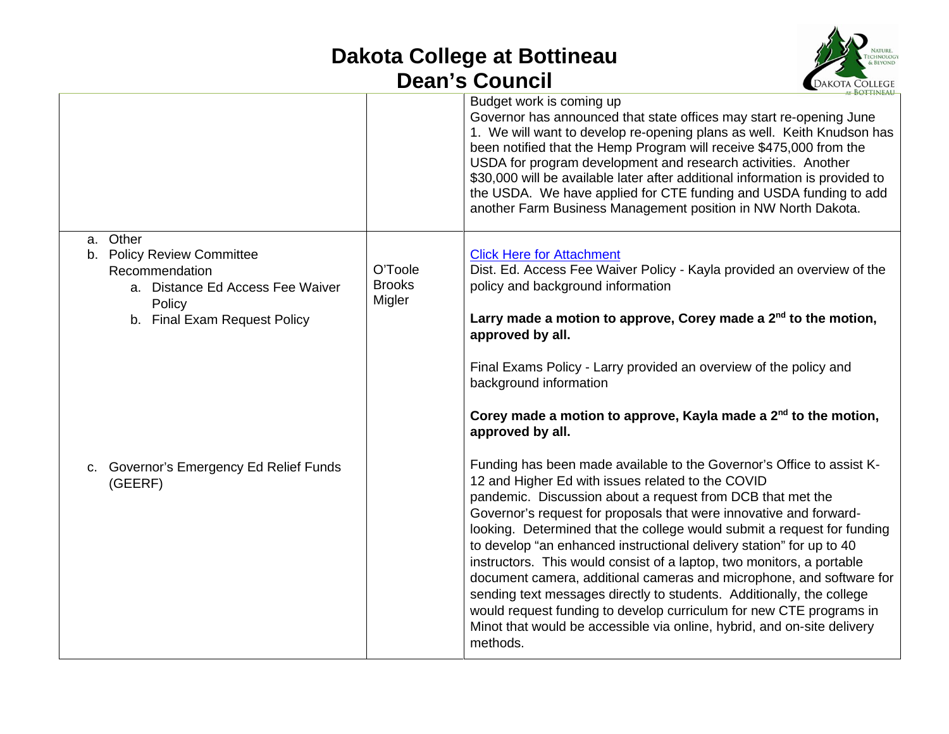## **Dakota College at Bottineau Dean's Council**



|                                                                                                                                        |                                    | $\lambda$ KOTTINEAU<br>Budget work is coming up<br>Governor has announced that state offices may start re-opening June<br>1. We will want to develop re-opening plans as well. Keith Knudson has<br>been notified that the Hemp Program will receive \$475,000 from the<br>USDA for program development and research activities. Another<br>\$30,000 will be available later after additional information is provided to<br>the USDA. We have applied for CTE funding and USDA funding to add<br>another Farm Business Management position in NW North Dakota.                                                                                                                                                                                                                                            |
|----------------------------------------------------------------------------------------------------------------------------------------|------------------------------------|-----------------------------------------------------------------------------------------------------------------------------------------------------------------------------------------------------------------------------------------------------------------------------------------------------------------------------------------------------------------------------------------------------------------------------------------------------------------------------------------------------------------------------------------------------------------------------------------------------------------------------------------------------------------------------------------------------------------------------------------------------------------------------------------------------------|
| a. Other<br>b. Policy Review Committee<br>Recommendation<br>a. Distance Ed Access Fee Waiver<br>Policy<br>b. Final Exam Request Policy | O'Toole<br><b>Brooks</b><br>Migler | <b>Click Here for Attachment</b><br>Dist. Ed. Access Fee Waiver Policy - Kayla provided an overview of the<br>policy and background information<br>Larry made a motion to approve, Corey made a $2^{nd}$ to the motion,<br>approved by all.<br>Final Exams Policy - Larry provided an overview of the policy and<br>background information<br>Corey made a motion to approve, Kayla made a 2 <sup>nd</sup> to the motion,<br>approved by all.                                                                                                                                                                                                                                                                                                                                                             |
| c. Governor's Emergency Ed Relief Funds<br>(GEERF)                                                                                     |                                    | Funding has been made available to the Governor's Office to assist K-<br>12 and Higher Ed with issues related to the COVID<br>pandemic. Discussion about a request from DCB that met the<br>Governor's request for proposals that were innovative and forward-<br>looking. Determined that the college would submit a request for funding<br>to develop "an enhanced instructional delivery station" for up to 40<br>instructors. This would consist of a laptop, two monitors, a portable<br>document camera, additional cameras and microphone, and software for<br>sending text messages directly to students. Additionally, the college<br>would request funding to develop curriculum for new CTE programs in<br>Minot that would be accessible via online, hybrid, and on-site delivery<br>methods. |